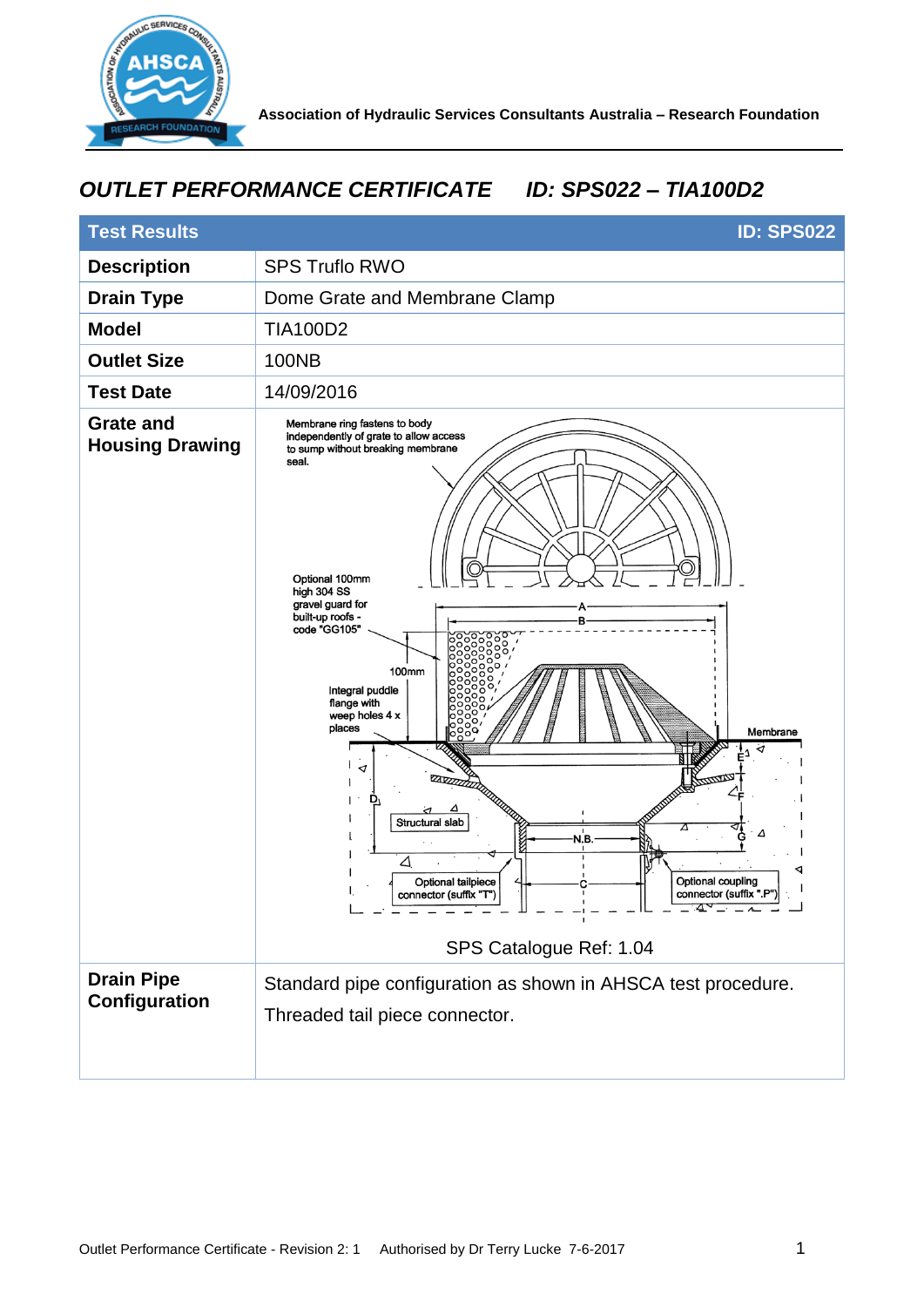

## *OUTLET PERFORMANCE CERTIFICATE ID: SPS022 – TIA100D2*

| <b>Test Results</b><br><b>ID: SPS022</b>   |                                                                                                                                                                                                                                                                                                                                                                                                                                                                                                                                            |
|--------------------------------------------|--------------------------------------------------------------------------------------------------------------------------------------------------------------------------------------------------------------------------------------------------------------------------------------------------------------------------------------------------------------------------------------------------------------------------------------------------------------------------------------------------------------------------------------------|
| <b>Description</b>                         | <b>SPS Truflo RWO</b>                                                                                                                                                                                                                                                                                                                                                                                                                                                                                                                      |
| <b>Drain Type</b>                          | Dome Grate and Membrane Clamp                                                                                                                                                                                                                                                                                                                                                                                                                                                                                                              |
| <b>Model</b>                               | <b>TIA100D2</b>                                                                                                                                                                                                                                                                                                                                                                                                                                                                                                                            |
| <b>Outlet Size</b>                         | <b>100NB</b>                                                                                                                                                                                                                                                                                                                                                                                                                                                                                                                               |
| <b>Test Date</b>                           | 14/09/2016                                                                                                                                                                                                                                                                                                                                                                                                                                                                                                                                 |
| <b>Grate and</b><br><b>Housing Drawing</b> | Membrane ring fastens to body<br>independently of grate to allow access<br>to sump without breaking membrane<br>seal.<br>Optional 100mm<br>high 304 SS<br>gravel guard for<br>built-up roofs -<br>code "GG105"<br>100mm<br>Integral puddle<br>flange with<br>weep holes 4 x<br>places<br>Membrane<br>◁<br><b>ZAVZZZZZ</b><br>D,<br>Structural slab<br>Δ<br>Δ<br>N.B.<br>△<br>Optional coupling<br>Optional tailpiece<br>connector (suffix ".P")<br>connector (suffix "T")<br>ত্ৰী<br>. _ _ _ _ _ <i>_ _</i> _ _<br>SPS Catalogue Ref: 1.04 |
| <b>Drain Pipe</b><br>Configuration         | Standard pipe configuration as shown in AHSCA test procedure.<br>Threaded tail piece connector.                                                                                                                                                                                                                                                                                                                                                                                                                                            |